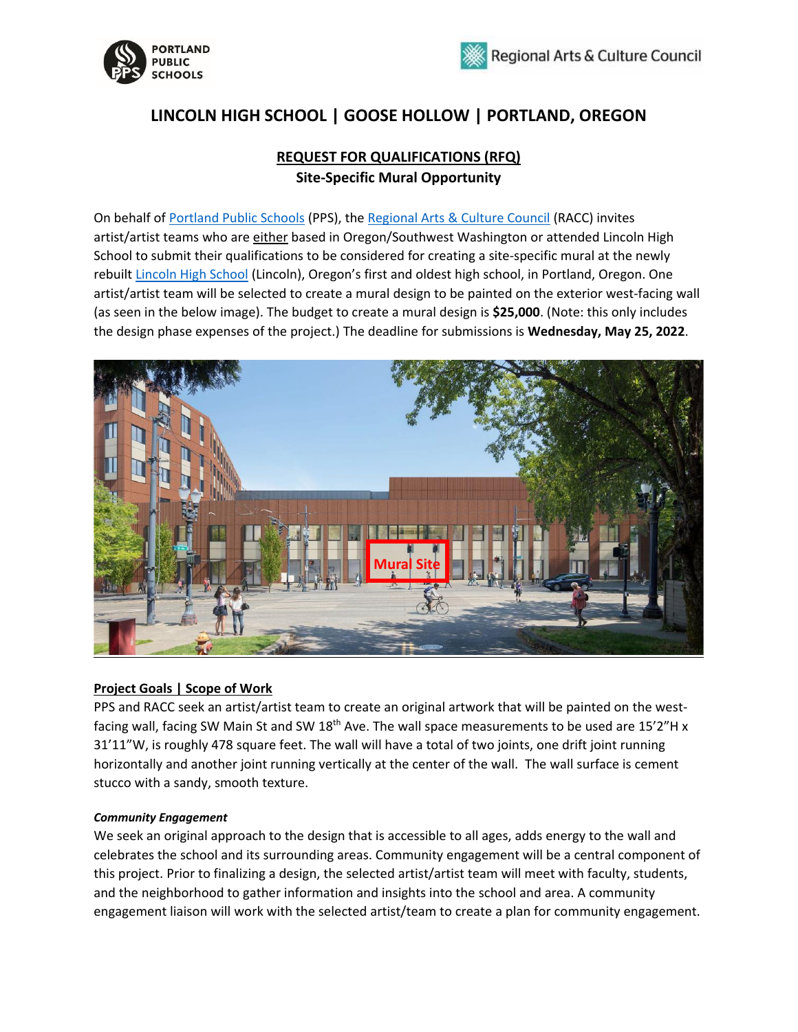



# **LINCOLN HIGH SCHOOL | GOOSE HOLLOW | PORTLAND, OREGON**

# **REQUEST FOR QUALIFICATIONS (RFQ) Site-Specific Mural Opportunity**

On behalf of [Portland Public Schools](https://www.pps.net/portland) (PPS), the [Regional Arts & Culture Council \(](https://racc.org/)RACC) invites artist/artist teams who are either based in Oregon/Southwest Washington or attended Lincoln High School to submit their qualifications to be considered for creating a site-specific mural at the newly rebuilt [Lincoln High School](https://www.pps.net/lincoln) (Lincoln), Oregon's first and oldest high school, in Portland, Oregon. One artist/artist team will be selected to create a mural design to be painted on the exterior west-facing wall (as seen in the below image). The budget to create a mural design is **\$25,000**. (Note: this only includes the design phase expenses of the project.) The deadline for submissions is **Wednesday, May 25, 2022**.



### **Project Goals | Scope of Work**

PPS and RACC seek an artist/artist team to create an original artwork that will be painted on the westfacing wall, facing SW Main St and SW 18<sup>th</sup> Ave. The wall space measurements to be used are 15'2"H x 31'11"W, is roughly 478 square feet. The wall will have a total of two joints, one drift joint running horizontally and another joint running vertically at the center of the wall. The wall surface is cement stucco with a sandy, smooth texture.

#### *Community Engagement*

We seek an original approach to the design that is accessible to all ages, adds energy to the wall and celebrates the school and its surrounding areas. Community engagement will be a central component of this project. Prior to finalizing a design, the selected artist/artist team will meet with faculty, students, and the neighborhood to gather information and insights into the school and area. A community engagement liaison will work with the selected artist/team to create a plan for community engagement.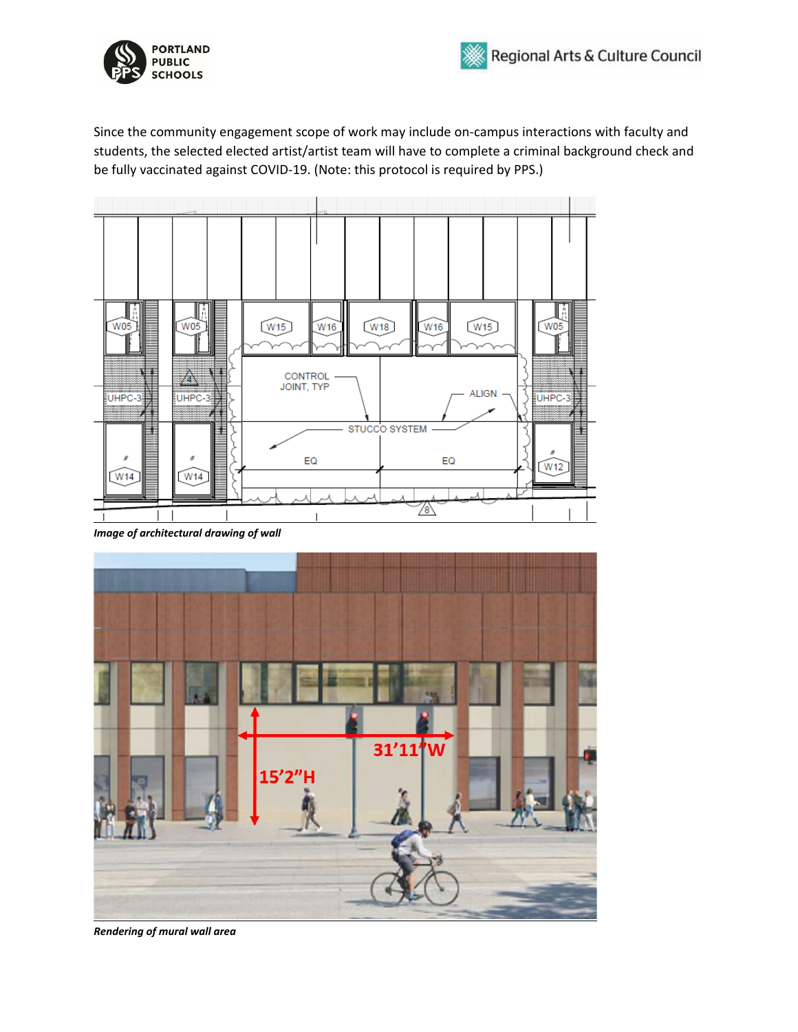

Since the community engagement scope of work may include on-campus interactions with faculty and students, the selected elected artist/artist team will have to complete a criminal background check and be fully vaccinated against COVID-19. (Note: this protocol is required by PPS.)



*Image of architectural drawing of wall* 



*Rendering of mural wall area*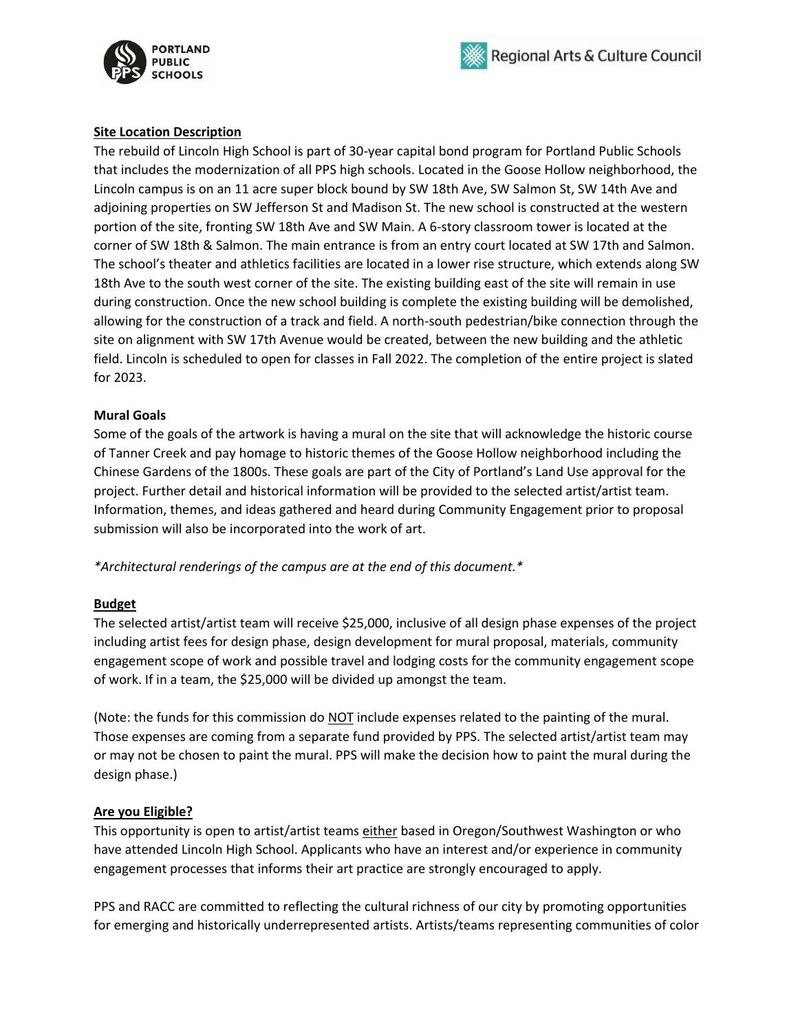



#### **Site Location Description**

The rebuild of Lincoln High School is part of 30-year capital bond program for Portland Public Schools that includes the modernization of all PPS high schools. Located in the Goose Hollow neighborhood, the Lincoln campus is on an 11 acre super block bound by SW 18th Ave, SW Salmon St, SW 14th Ave and adjoining properties on SW Jefferson St and Madison St. The new school is constructed at the western portion of the site, fronting SW 18th Ave and SW Main. A 6-story classroom tower is located at the corner of SW 18th & Salmon. The main entrance is from an entry court located at SW 17th and Salmon. The school's theater and athletics facilities are located in a lower rise structure, which extends along SW 18th Ave to the south west corner of the site. The existing building east of the site will remain in use during construction. Once the new school building is complete the existing building will be demolished, allowing for the construction of a track and field. A north-south pedestrian/bike connection through the site on alignment with SW 17th Avenue would be created, between the new building and the athletic field. Lincoln is scheduled to open for classes in Fall 2022. The completion of the entire project is slated for 2023.

#### **Mural Goals**

Some of the goals of the artwork is having a mural on the site that will acknowledge the historic course of Tanner Creek and pay homage to historic themes of the Goose Hollow neighborhood including the Chinese Gardens of the 1800s. These goals are part of the City of Portland's Land Use approval for the project. Further detail and historical information will be provided to the selected artist/artist team. Information, themes, and ideas gathered and heard during Community Engagement prior to proposal submission will also be incorporated into the work of art.

*\*Architectural renderings of the campus are at the end of this document.\** 

#### **Budget**

The selected artist/artist team will receive \$25,000, inclusive of all design phase expenses of the project including artist fees for design phase, design development for mural proposal, materials, community engagement scope of work and possible travel and lodging costs for the community engagement scope of work. If in a team, the \$25,000 will be divided up amongst the team.

(Note: the funds for this commission do NOT include expenses related to the painting of the mural. Those expenses are coming from a separate fund provided by PPS. The selected artist/artist team may or may not be chosen to paint the mural. PPS will make the decision how to paint the mural during the design phase.)

#### **Are you Eligible?**

This opportunity is open to artist/artist teams either based in Oregon/Southwest Washington or who have attended Lincoln High School. Applicants who have an interest and/or experience in community engagement processes that informs their art practice are strongly encouraged to apply.

PPS and RACC are committed to reflecting the cultural richness of our city by promoting opportunities for emerging and historically underrepresented artists. Artists/teams representing communities of color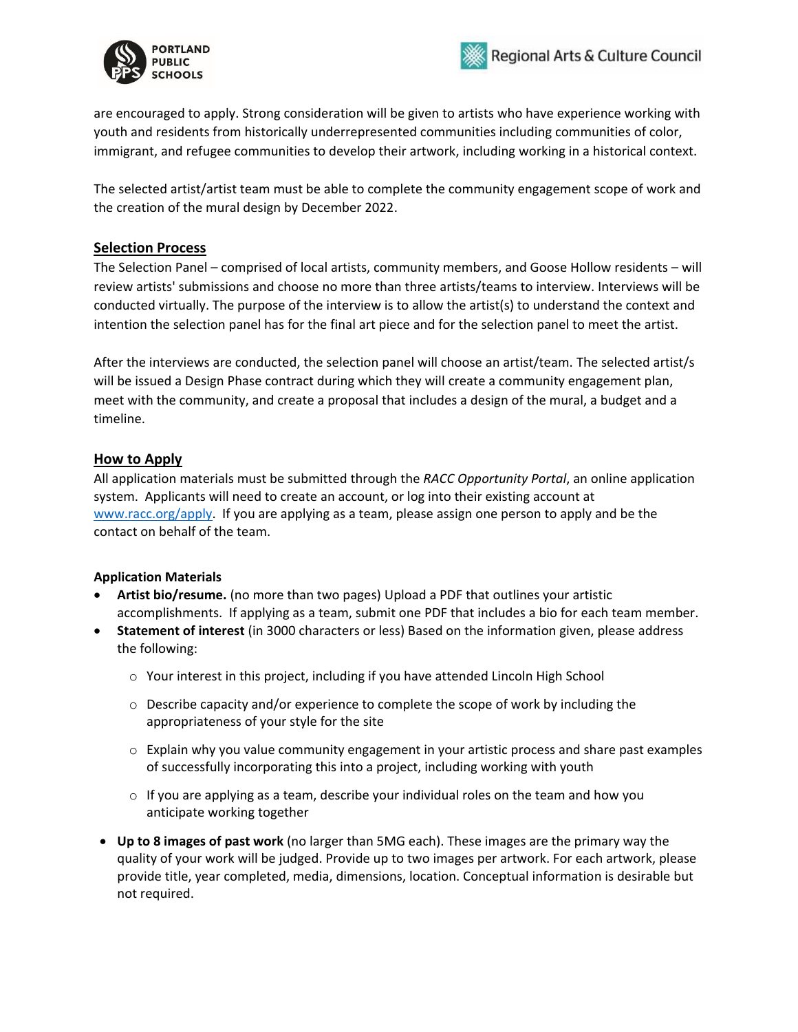



are encouraged to apply. Strong consideration will be given to artists who have experience working with youth and residents from historically underrepresented communities including communities of color, immigrant, and refugee communities to develop their artwork, including working in a historical context.

The selected artist/artist team must be able to complete the community engagement scope of work and the creation of the mural design by December 2022.

### **Selection Process**

The Selection Panel – comprised of local artists, community members, and Goose Hollow residents – will review artists' submissions and choose no more than three artists/teams to interview. Interviews will be conducted virtually. The purpose of the interview is to allow the artist(s) to understand the context and intention the selection panel has for the final art piece and for the selection panel to meet the artist.

After the interviews are conducted, the selection panel will choose an artist/team. The selected artist/s will be issued a Design Phase contract during which they will create a community engagement plan, meet with the community, and create a proposal that includes a design of the mural, a budget and a timeline.

### **How to Apply**

All application materials must be submitted through the *RACC Opportunity Portal*, an online application system. Applicants will need to create an account, or log into their existing account at [www.racc.org/apply.](http://www.racc.org/apply) If you are applying as a team, please assign one person to apply and be the contact on behalf of the team.

### **Application Materials**

- **Artist bio/resume.** (no more than two pages) Upload a PDF that outlines your artistic accomplishments. If applying as a team, submit one PDF that includes a bio for each team member.
- **Statement of interest** (in 3000 characters or less) Based on the information given, please address the following:
	- $\circ$  Your interest in this project, including if you have attended Lincoln High School
	- o Describe capacity and/or experience to complete the scope of work by including the appropriateness of your style for the site
	- $\circ$  Explain why you value community engagement in your artistic process and share past examples of successfully incorporating this into a project, including working with youth
	- $\circ$  If you are applying as a team, describe your individual roles on the team and how you anticipate working together
- **Up to 8 images of past work** (no larger than 5MG each). These images are the primary way the quality of your work will be judged. Provide up to two images per artwork. For each artwork, please provide title, year completed, media, dimensions, location. Conceptual information is desirable but not required.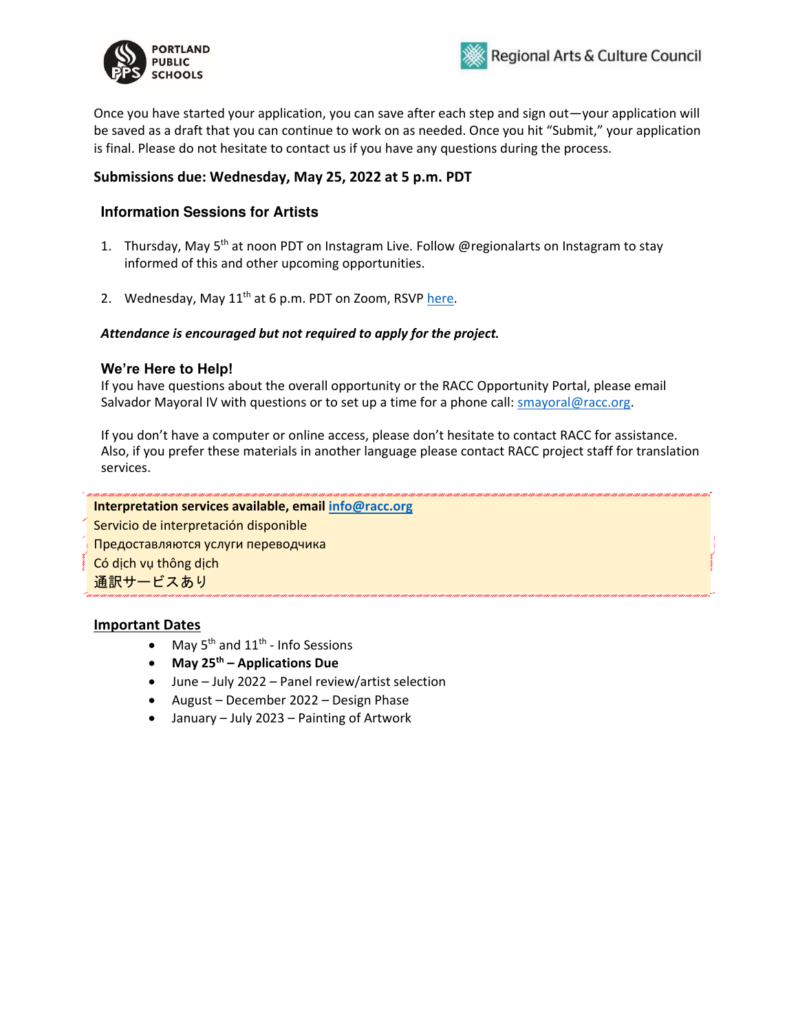



Once you have started your application, you can save after each step and sign out—your application will be saved as a draft that you can continue to work on as needed. Once you hit "Submit," your application is final. Please do not hesitate to contact us if you have any questions during the process.

### **Submissions due: Wednesday, May 25, 2022 at 5 p.m. PDT**

### **Information Sessions for Artists**

- 1. Thursday, May 5<sup>th</sup> at noon PDT on Instagram Live. Follow @regionalarts on Instagram to stay informed of this and other upcoming opportunities.
- 2. Wednesday, May 11<sup>th</sup> at 6 p.m. PDT on Zoom, RSVP [here.](https://www.eventbrite.com/e/lincoln-high-school-public-art-opportunity-info-session-tickets-323609072447)

#### *Attendance is encouraged but not required to apply for the project.*

#### **We're Here to Help!**

If you have questions about the overall opportunity or the RACC Opportunity Portal, please email Salvador Mayoral IV with questions or to set up a time for a phone call: [smayoral@racc.org.](mailto:smayoral@racc.org)

If you don't have a computer or online access, please don't hesitate to contact RACC for assistance. Also, if you prefer these materials in another language please contact RACC project staff for translation services.

### **Interpretation services available, email [info@racc.org](mailto:info@racc.org)**

Servicio de interpretación disponible

Предоставляются услуги переводчика

Có dịch vụ thông dịch

通訳サービスあり

#### **Important Dates**

- May  $5^{th}$  and  $11^{th}$  Info Sessions
- **May 25th – Applications Due**
- June July 2022 Panel review/artist selection
- August December 2022 Design Phase
- January July 2023 Painting of Artwork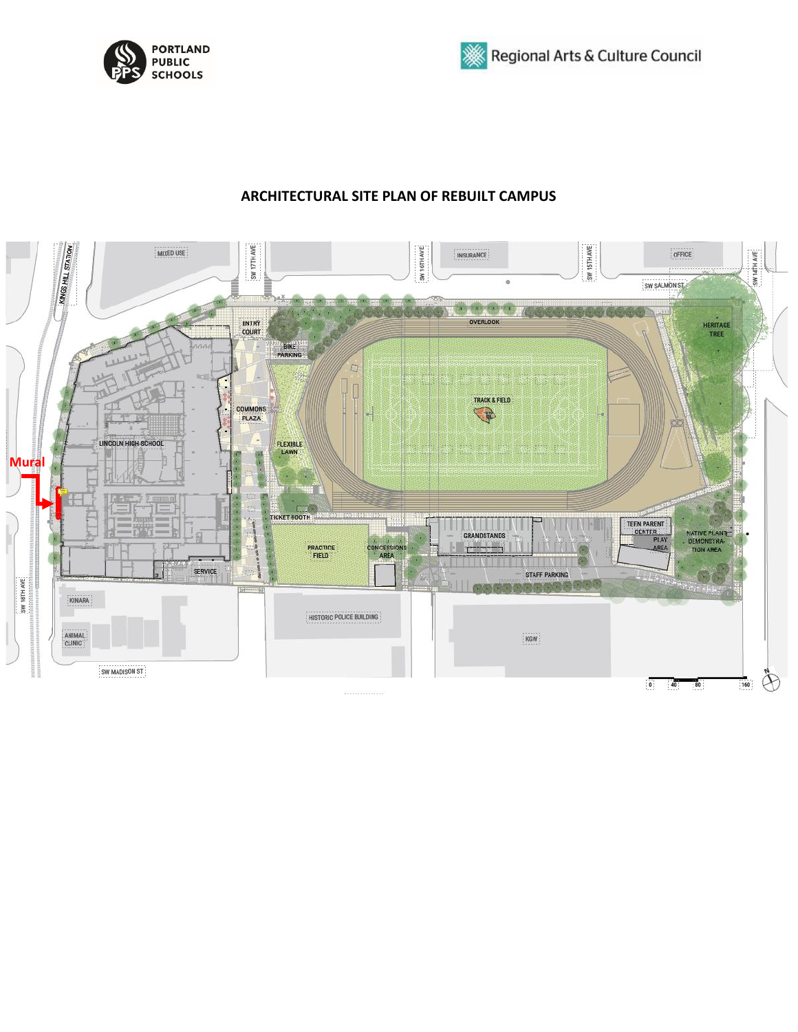



## **ARCHITECTURAL SITE PLAN OF REBUILT CAMPUS**